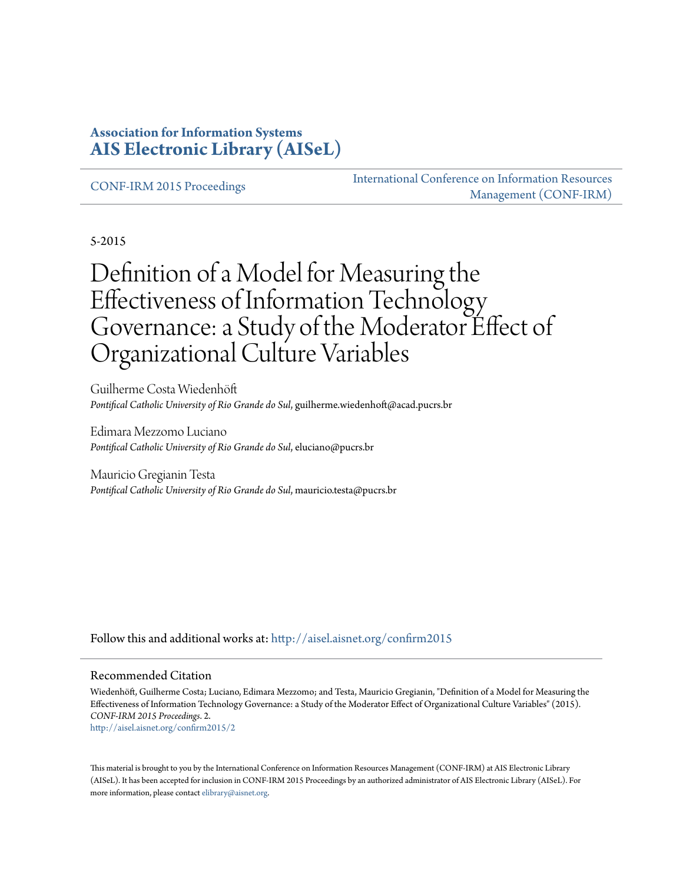#### **Association for Information Systems [AIS Electronic Library \(AISeL\)](http://aisel.aisnet.org?utm_source=aisel.aisnet.org%2Fconfirm2015%2F2&utm_medium=PDF&utm_campaign=PDFCoverPages)**

[CONF-IRM 2015 Proceedings](http://aisel.aisnet.org/confirm2015?utm_source=aisel.aisnet.org%2Fconfirm2015%2F2&utm_medium=PDF&utm_campaign=PDFCoverPages)

[International Conference on Information Resources](http://aisel.aisnet.org/conf-irm?utm_source=aisel.aisnet.org%2Fconfirm2015%2F2&utm_medium=PDF&utm_campaign=PDFCoverPages) [Management \(CONF-IRM\)](http://aisel.aisnet.org/conf-irm?utm_source=aisel.aisnet.org%2Fconfirm2015%2F2&utm_medium=PDF&utm_campaign=PDFCoverPages)

5-2015

# Definition of a Model for Measuring the Effectiveness of Information Technology Governance: a Study of the Moderator Effect of Organizational Culture Variables

Guilherme Costa Wiedenhöft *Pontifical Catholic University of Rio Grande do Sul*, guilherme.wiedenhoft@acad.pucrs.br

Edimara Mezzomo Luciano *Pontifical Catholic University of Rio Grande do Sul*, eluciano@pucrs.br

Mauricio Gregianin Testa *Pontifical Catholic University of Rio Grande do Sul*, mauricio.testa@pucrs.br

Follow this and additional works at: [http://aisel.aisnet.org/confirm2015](http://aisel.aisnet.org/confirm2015?utm_source=aisel.aisnet.org%2Fconfirm2015%2F2&utm_medium=PDF&utm_campaign=PDFCoverPages)

#### Recommended Citation

Wiedenhöft, Guilherme Costa; Luciano, Edimara Mezzomo; and Testa, Mauricio Gregianin, "Definition of a Model for Measuring the Effectiveness of Information Technology Governance: a Study of the Moderator Effect of Organizational Culture Variables" (2015). *CONF-IRM 2015 Proceedings*. 2. [http://aisel.aisnet.org/confirm2015/2](http://aisel.aisnet.org/confirm2015/2?utm_source=aisel.aisnet.org%2Fconfirm2015%2F2&utm_medium=PDF&utm_campaign=PDFCoverPages)

This material is brought to you by the International Conference on Information Resources Management (CONF-IRM) at AIS Electronic Library (AISeL). It has been accepted for inclusion in CONF-IRM 2015 Proceedings by an authorized administrator of AIS Electronic Library (AISeL). For more information, please contact [elibrary@aisnet.org.](mailto:elibrary@aisnet.org%3E)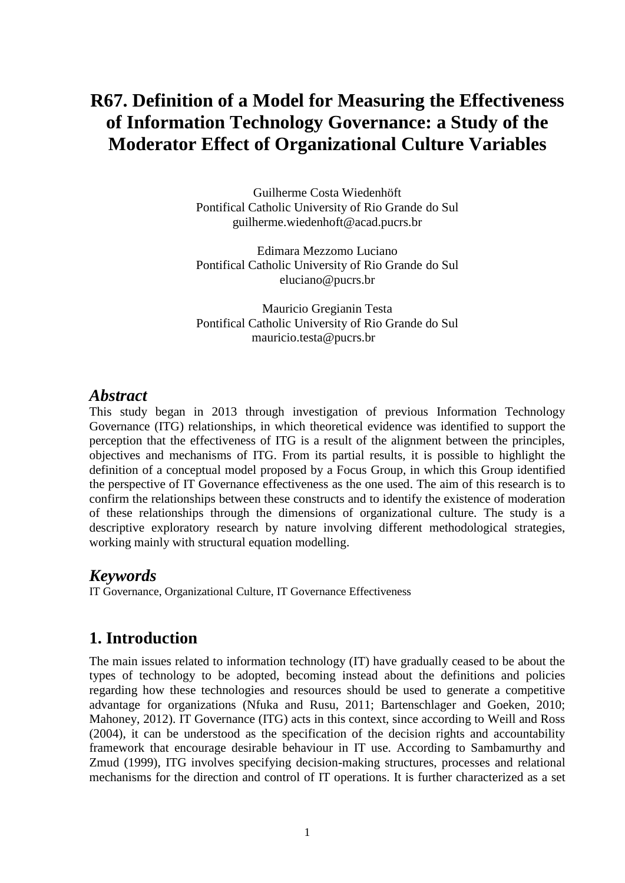## **R67. Definition of a Model for Measuring the Effectiveness of Information Technology Governance: a Study of the Moderator Effect of Organizational Culture Variables**

Guilherme Costa Wiedenhöft Pontifical Catholic University of Rio Grande do Sul [guilherme.wiedenhoft@acad.pucrs.br](mailto:guilherme.wiedenhoft@acad.pucrs.br)

Edimara Mezzomo Luciano Pontifical Catholic University of Rio Grande do Sul [eluciano@pucrs.br](mailto:eluciano@pucrs.br)

Mauricio Gregianin Testa Pontifical Catholic University of Rio Grande do Sul [mauricio.testa@pucrs.br](mailto:mauricio.testa@pucrs.br)

#### *Abstract*

This study began in 2013 through investigation of previous Information Technology Governance (ITG) relationships, in which theoretical evidence was identified to support the perception that the effectiveness of ITG is a result of the alignment between the principles, objectives and mechanisms of ITG. From its partial results, it is possible to highlight the definition of a conceptual model proposed by a Focus Group, in which this Group identified the perspective of IT Governance effectiveness as the one used. The aim of this research is to confirm the relationships between these constructs and to identify the existence of moderation of these relationships through the dimensions of organizational culture. The study is a descriptive exploratory research by nature involving different methodological strategies, working mainly with structural equation modelling.

#### *Keywords*

IT Governance, Organizational Culture, IT Governance Effectiveness

#### **1. Introduction**

The main issues related to information technology (IT) have gradually ceased to be about the types of technology to be adopted, becoming instead about the definitions and policies regarding how these technologies and resources should be used to generate a competitive advantage for organizations (Nfuka and Rusu, 2011; Bartenschlager and Goeken, 2010; Mahoney, 2012). IT Governance (ITG) acts in this context, since according to Weill and Ross (2004), it can be understood as the specification of the decision rights and accountability framework that encourage desirable behaviour in IT use. According to Sambamurthy and Zmud (1999), ITG involves specifying decision-making structures, processes and relational mechanisms for the direction and control of IT operations. It is further characterized as a set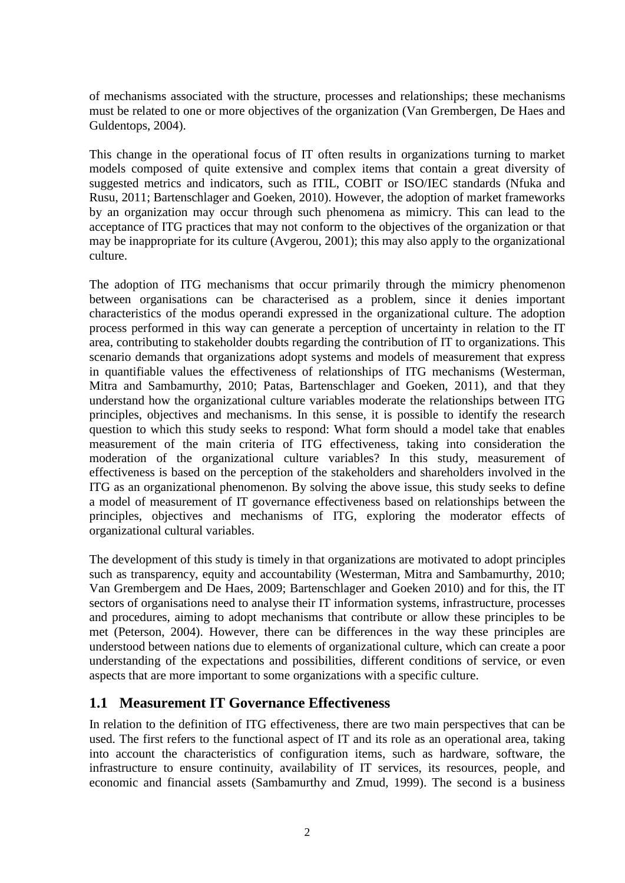of mechanisms associated with the structure, processes and relationships; these mechanisms must be related to one or more objectives of the organization (Van Grembergen, De Haes and Guldentops, 2004).

This change in the operational focus of IT often results in organizations turning to market models composed of quite extensive and complex items that contain a great diversity of suggested metrics and indicators, such as ITIL, COBIT or ISO/IEC standards (Nfuka and Rusu, 2011; Bartenschlager and Goeken, 2010). However, the adoption of market frameworks by an organization may occur through such phenomena as mimicry. This can lead to the acceptance of ITG practices that may not conform to the objectives of the organization or that may be inappropriate for its culture (Avgerou, 2001); this may also apply to the organizational culture.

The adoption of ITG mechanisms that occur primarily through the mimicry phenomenon between organisations can be characterised as a problem, since it denies important characteristics of the modus operandi expressed in the organizational culture. The adoption process performed in this way can generate a perception of uncertainty in relation to the IT area, contributing to stakeholder doubts regarding the contribution of IT to organizations. This scenario demands that organizations adopt systems and models of measurement that express in quantifiable values the effectiveness of relationships of ITG mechanisms (Westerman, Mitra and Sambamurthy, 2010; Patas, Bartenschlager and Goeken, 2011), and that they understand how the organizational culture variables moderate the relationships between ITG principles, objectives and mechanisms. In this sense, it is possible to identify the research question to which this study seeks to respond: What form should a model take that enables measurement of the main criteria of ITG effectiveness, taking into consideration the moderation of the organizational culture variables? In this study, measurement of effectiveness is based on the perception of the stakeholders and shareholders involved in the ITG as an organizational phenomenon. By solving the above issue, this study seeks to define a model of measurement of IT governance effectiveness based on relationships between the principles, objectives and mechanisms of ITG, exploring the moderator effects of organizational cultural variables.

The development of this study is timely in that organizations are motivated to adopt principles such as transparency, equity and accountability (Westerman, Mitra and Sambamurthy, 2010; Van Grembergem and De Haes, 2009; Bartenschlager and Goeken 2010) and for this, the IT sectors of organisations need to analyse their IT information systems, infrastructure, processes and procedures, aiming to adopt mechanisms that contribute or allow these principles to be met (Peterson, 2004). However, there can be differences in the way these principles are understood between nations due to elements of organizational culture, which can create a poor understanding of the expectations and possibilities, different conditions of service, or even aspects that are more important to some organizations with a specific culture.

#### **1.1 Measurement IT Governance Effectiveness**

In relation to the definition of ITG effectiveness, there are two main perspectives that can be used. The first refers to the functional aspect of IT and its role as an operational area, taking into account the characteristics of configuration items, such as hardware, software, the infrastructure to ensure continuity, availability of IT services, its resources, people, and economic and financial assets (Sambamurthy and Zmud, 1999). The second is a business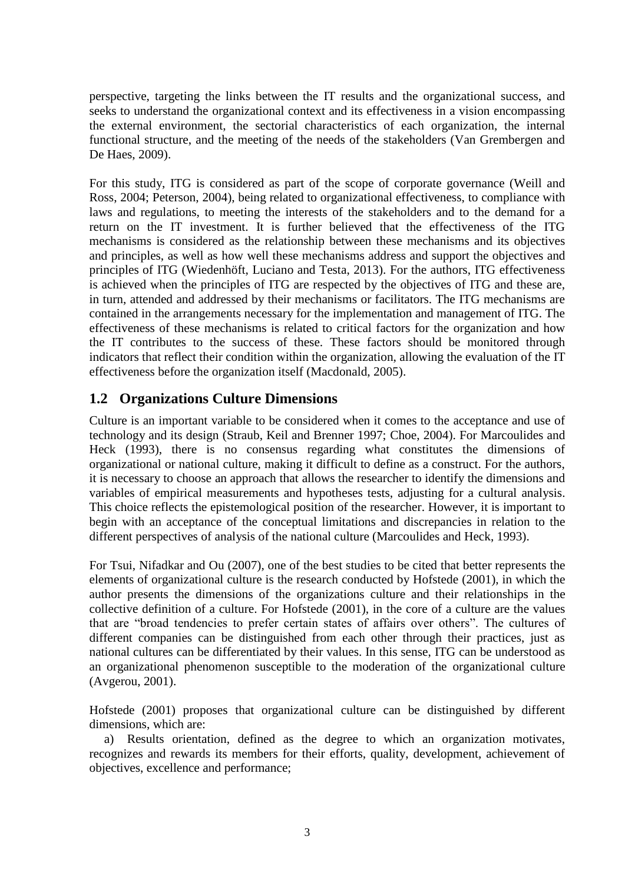perspective, targeting the links between the IT results and the organizational success, and seeks to understand the organizational context and its effectiveness in a vision encompassing the external environment, the sectorial characteristics of each organization, the internal functional structure, and the meeting of the needs of the stakeholders (Van Grembergen and De Haes, 2009).

For this study, ITG is considered as part of the scope of corporate governance (Weill and Ross, 2004; Peterson, 2004), being related to organizational effectiveness, to compliance with laws and regulations, to meeting the interests of the stakeholders and to the demand for a return on the IT investment. It is further believed that the effectiveness of the ITG mechanisms is considered as the relationship between these mechanisms and its objectives and principles, as well as how well these mechanisms address and support the objectives and principles of ITG (Wiedenhöft, Luciano and Testa, 2013). For the authors, ITG effectiveness is achieved when the principles of ITG are respected by the objectives of ITG and these are, in turn, attended and addressed by their mechanisms or facilitators. The ITG mechanisms are contained in the arrangements necessary for the implementation and management of ITG. The effectiveness of these mechanisms is related to critical factors for the organization and how the IT contributes to the success of these. These factors should be monitored through indicators that reflect their condition within the organization, allowing the evaluation of the IT effectiveness before the organization itself (Macdonald, 2005).

#### **1.2 Organizations Culture Dimensions**

Culture is an important variable to be considered when it comes to the acceptance and use of technology and its design (Straub, Keil and Brenner 1997; Choe, 2004). For Marcoulides and Heck (1993), there is no consensus regarding what constitutes the dimensions of organizational or national culture, making it difficult to define as a construct. For the authors, it is necessary to choose an approach that allows the researcher to identify the dimensions and variables of empirical measurements and hypotheses tests, adjusting for a cultural analysis. This choice reflects the epistemological position of the researcher. However, it is important to begin with an acceptance of the conceptual limitations and discrepancies in relation to the different perspectives of analysis of the national culture (Marcoulides and Heck, 1993).

For Tsui, Nifadkar and Ou (2007), one of the best studies to be cited that better represents the elements of organizational culture is the research conducted by Hofstede (2001), in which the author presents the dimensions of the organizations culture and their relationships in the collective definition of a culture. For Hofstede (2001), in the core of a culture are the values that are "broad tendencies to prefer certain states of affairs over others". The cultures of different companies can be distinguished from each other through their practices, just as national cultures can be differentiated by their values. In this sense, ITG can be understood as an organizational phenomenon susceptible to the moderation of the organizational culture (Avgerou, 2001).

Hofstede (2001) proposes that organizational culture can be distinguished by different dimensions, which are:

a) Results orientation, defined as the degree to which an organization motivates, recognizes and rewards its members for their efforts, quality, development, achievement of objectives, excellence and performance;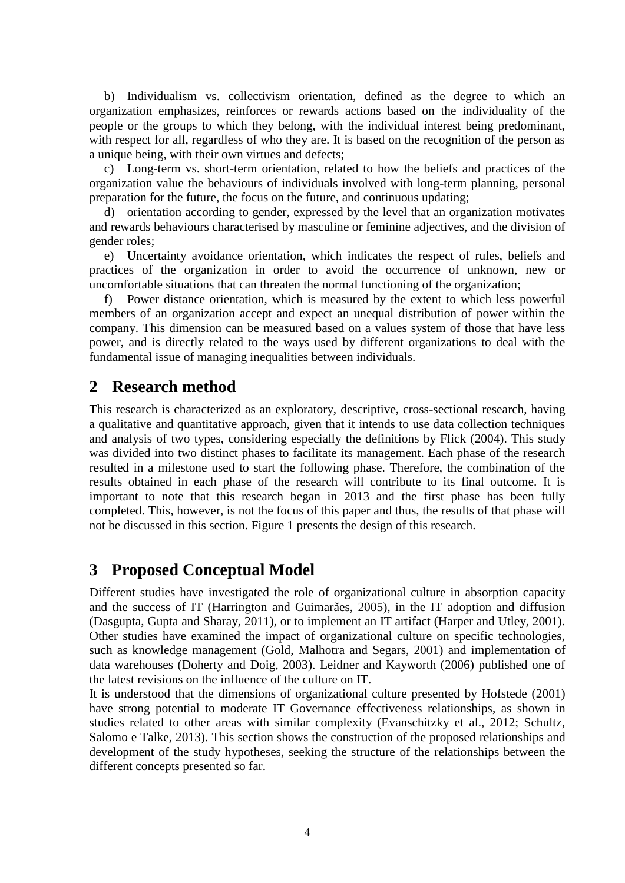b) Individualism vs. collectivism orientation, defined as the degree to which an organization emphasizes, reinforces or rewards actions based on the individuality of the people or the groups to which they belong, with the individual interest being predominant, with respect for all, regardless of who they are. It is based on the recognition of the person as a unique being, with their own virtues and defects;

c) Long-term vs. short-term orientation, related to how the beliefs and practices of the organization value the behaviours of individuals involved with long-term planning, personal preparation for the future, the focus on the future, and continuous updating;

d) orientation according to gender, expressed by the level that an organization motivates and rewards behaviours characterised by masculine or feminine adjectives, and the division of gender roles;

e) Uncertainty avoidance orientation, which indicates the respect of rules, beliefs and practices of the organization in order to avoid the occurrence of unknown, new or uncomfortable situations that can threaten the normal functioning of the organization;

f) Power distance orientation, which is measured by the extent to which less powerful members of an organization accept and expect an unequal distribution of power within the company. This dimension can be measured based on a values system of those that have less power, and is directly related to the ways used by different organizations to deal with the fundamental issue of managing inequalities between individuals.

#### **2 Research method**

This research is characterized as an exploratory, descriptive, cross-sectional research, having a qualitative and quantitative approach, given that it intends to use data collection techniques and analysis of two types, considering especially the definitions by Flick (2004). This study was divided into two distinct phases to facilitate its management. Each phase of the research resulted in a milestone used to start the following phase. Therefore, the combination of the results obtained in each phase of the research will contribute to its final outcome. It is important to note that this research began in 2013 and the first phase has been fully completed. This, however, is not the focus of this paper and thus, the results of that phase will not be discussed in this section. Figure 1 presents the design of this research.

#### **3 Proposed Conceptual Model**

Different studies have investigated the role of organizational culture in absorption capacity and the success of IT (Harrington and Guimarães, 2005), in the IT adoption and diffusion (Dasgupta, Gupta and Sharay, 2011), or to implement an IT artifact (Harper and Utley, 2001). Other studies have examined the impact of organizational culture on specific technologies, such as knowledge management (Gold, Malhotra and Segars, 2001) and implementation of data warehouses (Doherty and Doig, 2003). Leidner and Kayworth (2006) published one of the latest revisions on the influence of the culture on IT.

It is understood that the dimensions of organizational culture presented by Hofstede (2001) have strong potential to moderate IT Governance effectiveness relationships, as shown in studies related to other areas with similar complexity (Evanschitzky et al., 2012; Schultz, Salomo e Talke, 2013). This section shows the construction of the proposed relationships and development of the study hypotheses, seeking the structure of the relationships between the different concepts presented so far.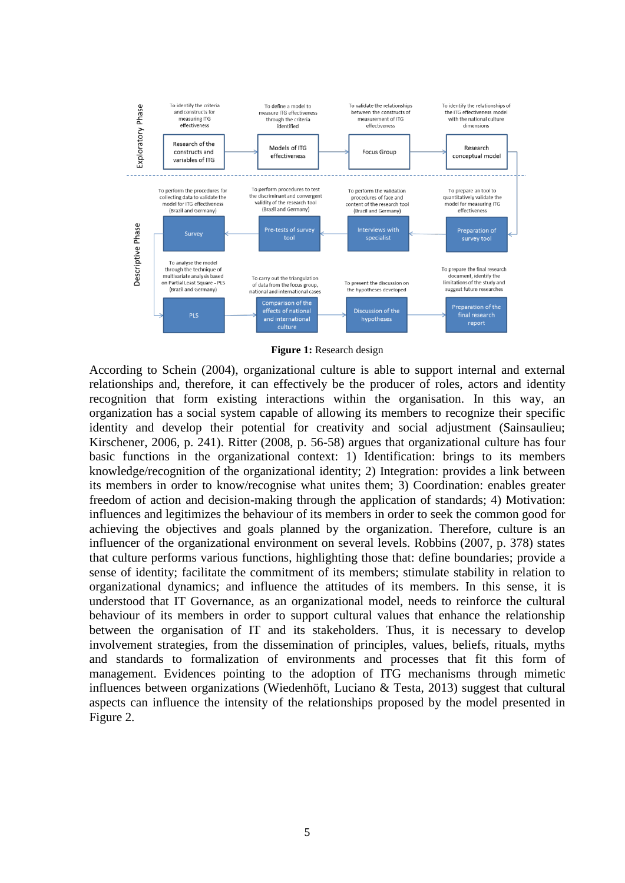

**Figure 1:** Research design

According to Schein (2004), organizational culture is able to support internal and external relationships and, therefore, it can effectively be the producer of roles, actors and identity recognition that form existing interactions within the organisation. In this way, an organization has a social system capable of allowing its members to recognize their specific identity and develop their potential for creativity and social adjustment (Sainsaulieu; Kirschener, 2006, p. 241). Ritter (2008, p. 56-58) argues that organizational culture has four basic functions in the organizational context: 1) Identification: brings to its members knowledge/recognition of the organizational identity; 2) Integration: provides a link between its members in order to know/recognise what unites them; 3) Coordination: enables greater freedom of action and decision-making through the application of standards; 4) Motivation: influences and legitimizes the behaviour of its members in order to seek the common good for achieving the objectives and goals planned by the organization. Therefore, culture is an influencer of the organizational environment on several levels. Robbins (2007, p. 378) states that culture performs various functions, highlighting those that: define boundaries; provide a sense of identity; facilitate the commitment of its members; stimulate stability in relation to organizational dynamics; and influence the attitudes of its members. In this sense, it is understood that IT Governance, as an organizational model, needs to reinforce the cultural behaviour of its members in order to support cultural values that enhance the relationship between the organisation of IT and its stakeholders. Thus, it is necessary to develop involvement strategies, from the dissemination of principles, values, beliefs, rituals, myths and standards to formalization of environments and processes that fit this form of management. Evidences pointing to the adoption of ITG mechanisms through mimetic influences between organizations (Wiedenhöft, Luciano & Testa, 2013) suggest that cultural aspects can influence the intensity of the relationships proposed by the model presented in Figure 2.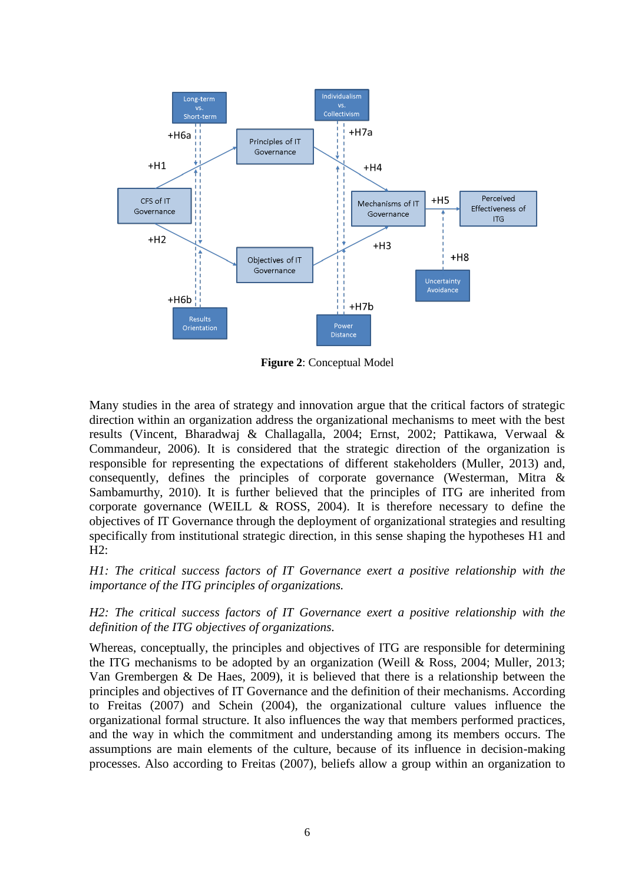

**Figure 2**: Conceptual Model

Many studies in the area of strategy and innovation argue that the critical factors of strategic direction within an organization address the organizational mechanisms to meet with the best results (Vincent, Bharadwaj & Challagalla, 2004; Ernst, 2002; Pattikawa, Verwaal & Commandeur, 2006). It is considered that the strategic direction of the organization is responsible for representing the expectations of different stakeholders (Muller, 2013) and, consequently, defines the principles of corporate governance (Westerman, Mitra & Sambamurthy, 2010). It is further believed that the principles of ITG are inherited from corporate governance (WEILL  $& ROSS, 2004$ ). It is therefore necessary to define the objectives of IT Governance through the deployment of organizational strategies and resulting specifically from institutional strategic direction, in this sense shaping the hypotheses H1 and H2:

*H1: The critical success factors of IT Governance exert a positive relationship with the importance of the ITG principles of organizations.*

*H2: The critical success factors of IT Governance exert a positive relationship with the definition of the ITG objectives of organizations.*

Whereas, conceptually, the principles and objectives of ITG are responsible for determining the ITG mechanisms to be adopted by an organization (Weill & Ross, 2004; Muller, 2013; Van Grembergen & De Haes, 2009), it is believed that there is a relationship between the principles and objectives of IT Governance and the definition of their mechanisms. According to Freitas (2007) and Schein (2004), the organizational culture values influence the organizational formal structure. It also influences the way that members performed practices, and the way in which the commitment and understanding among its members occurs. The assumptions are main elements of the culture, because of its influence in decision-making processes. Also according to Freitas (2007), beliefs allow a group within an organization to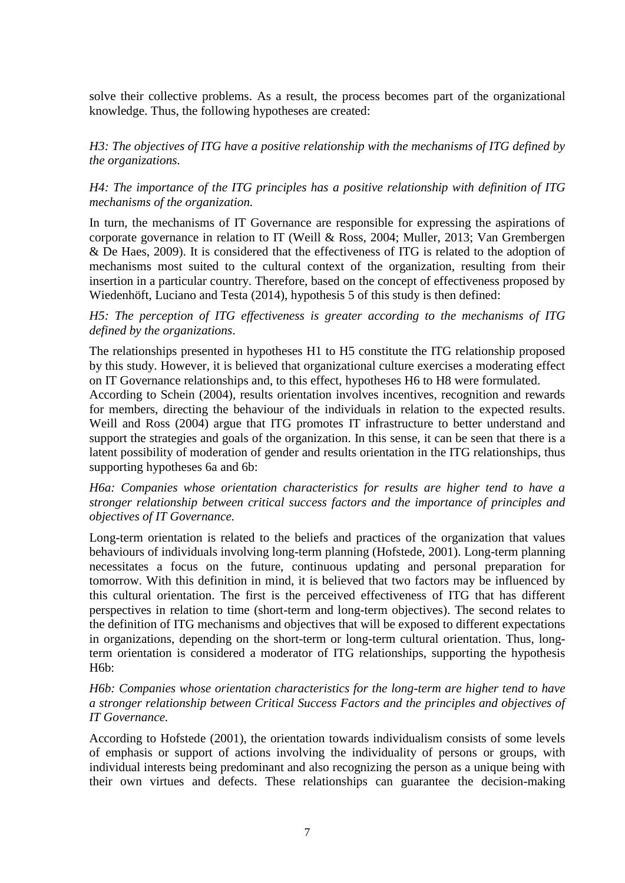solve their collective problems. As a result, the process becomes part of the organizational knowledge. Thus, the following hypotheses are created:

*H3: The objectives of ITG have a positive relationship with the mechanisms of ITG defined by the organizations.*

*H4: The importance of the ITG principles has a positive relationship with definition of ITG mechanisms of the organization.*

In turn, the mechanisms of IT Governance are responsible for expressing the aspirations of corporate governance in relation to IT (Weill & Ross, 2004; Muller, 2013; Van Grembergen & De Haes, 2009). It is considered that the effectiveness of ITG is related to the adoption of mechanisms most suited to the cultural context of the organization, resulting from their insertion in a particular country. Therefore, based on the concept of effectiveness proposed by Wiedenhöft, Luciano and Testa (2014), hypothesis 5 of this study is then defined:

*H5: The perception of ITG effectiveness is greater according to the mechanisms of ITG defined by the organizations*.

The relationships presented in hypotheses H1 to H5 constitute the ITG relationship proposed by this study. However, it is believed that organizational culture exercises a moderating effect on IT Governance relationships and, to this effect, hypotheses H6 to H8 were formulated.

According to Schein (2004), results orientation involves incentives, recognition and rewards for members, directing the behaviour of the individuals in relation to the expected results. Weill and Ross (2004) argue that ITG promotes IT infrastructure to better understand and support the strategies and goals of the organization. In this sense, it can be seen that there is a latent possibility of moderation of gender and results orientation in the ITG relationships, thus supporting hypotheses 6a and 6b:

*H6a: Companies whose orientation characteristics for results are higher tend to have a stronger relationship between critical success factors and the importance of principles and objectives of IT Governance.*

Long-term orientation is related to the beliefs and practices of the organization that values behaviours of individuals involving long-term planning (Hofstede, 2001). Long-term planning necessitates a focus on the future, continuous updating and personal preparation for tomorrow. With this definition in mind, it is believed that two factors may be influenced by this cultural orientation. The first is the perceived effectiveness of ITG that has different perspectives in relation to time (short-term and long-term objectives). The second relates to the definition of ITG mechanisms and objectives that will be exposed to different expectations in organizations, depending on the short-term or long-term cultural orientation. Thus, longterm orientation is considered a moderator of ITG relationships, supporting the hypothesis H6b:

*H6b: Companies whose orientation characteristics for the long-term are higher tend to have a stronger relationship between Critical Success Factors and the principles and objectives of IT Governance.*

According to Hofstede (2001), the orientation towards individualism consists of some levels of emphasis or support of actions involving the individuality of persons or groups, with individual interests being predominant and also recognizing the person as a unique being with their own virtues and defects. These relationships can guarantee the decision-making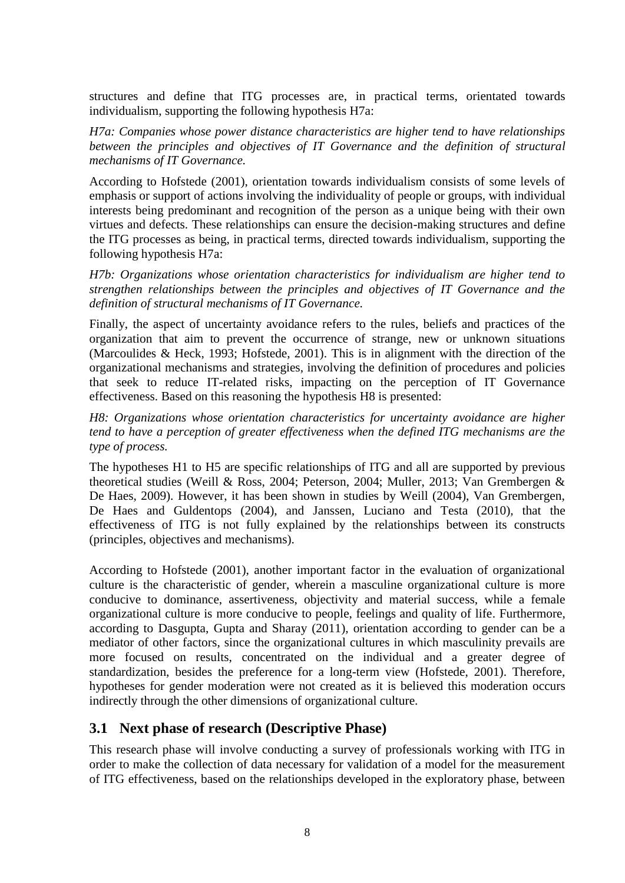structures and define that ITG processes are, in practical terms, orientated towards individualism, supporting the following hypothesis H7a:

*H7a: Companies whose power distance characteristics are higher tend to have relationships between the principles and objectives of IT Governance and the definition of structural mechanisms of IT Governance.*

According to Hofstede (2001), orientation towards individualism consists of some levels of emphasis or support of actions involving the individuality of people or groups, with individual interests being predominant and recognition of the person as a unique being with their own virtues and defects. These relationships can ensure the decision-making structures and define the ITG processes as being, in practical terms, directed towards individualism, supporting the following hypothesis H7a:

*H7b: Organizations whose orientation characteristics for individualism are higher tend to strengthen relationships between the principles and objectives of IT Governance and the definition of structural mechanisms of IT Governance.*

Finally, the aspect of uncertainty avoidance refers to the rules, beliefs and practices of the organization that aim to prevent the occurrence of strange, new or unknown situations (Marcoulides & Heck, 1993; Hofstede, 2001). This is in alignment with the direction of the organizational mechanisms and strategies, involving the definition of procedures and policies that seek to reduce IT-related risks, impacting on the perception of IT Governance effectiveness. Based on this reasoning the hypothesis H8 is presented:

*H8: Organizations whose orientation characteristics for uncertainty avoidance are higher tend to have a perception of greater effectiveness when the defined ITG mechanisms are the type of process.*

The hypotheses H1 to H5 are specific relationships of ITG and all are supported by previous theoretical studies (Weill & Ross, 2004; Peterson, 2004; Muller, 2013; Van Grembergen & De Haes, 2009). However, it has been shown in studies by Weill (2004), Van Grembergen, De Haes and Guldentops (2004), and Janssen, Luciano and Testa (2010), that the effectiveness of ITG is not fully explained by the relationships between its constructs (principles, objectives and mechanisms).

According to Hofstede (2001), another important factor in the evaluation of organizational culture is the characteristic of gender, wherein a masculine organizational culture is more conducive to dominance, assertiveness, objectivity and material success, while a female organizational culture is more conducive to people, feelings and quality of life. Furthermore, according to Dasgupta, Gupta and Sharay (2011), orientation according to gender can be a mediator of other factors, since the organizational cultures in which masculinity prevails are more focused on results, concentrated on the individual and a greater degree of standardization, besides the preference for a long-term view (Hofstede, 2001). Therefore, hypotheses for gender moderation were not created as it is believed this moderation occurs indirectly through the other dimensions of organizational culture.

#### **3.1 Next phase of research (Descriptive Phase)**

This research phase will involve conducting a survey of professionals working with ITG in order to make the collection of data necessary for validation of a model for the measurement of ITG effectiveness, based on the relationships developed in the exploratory phase, between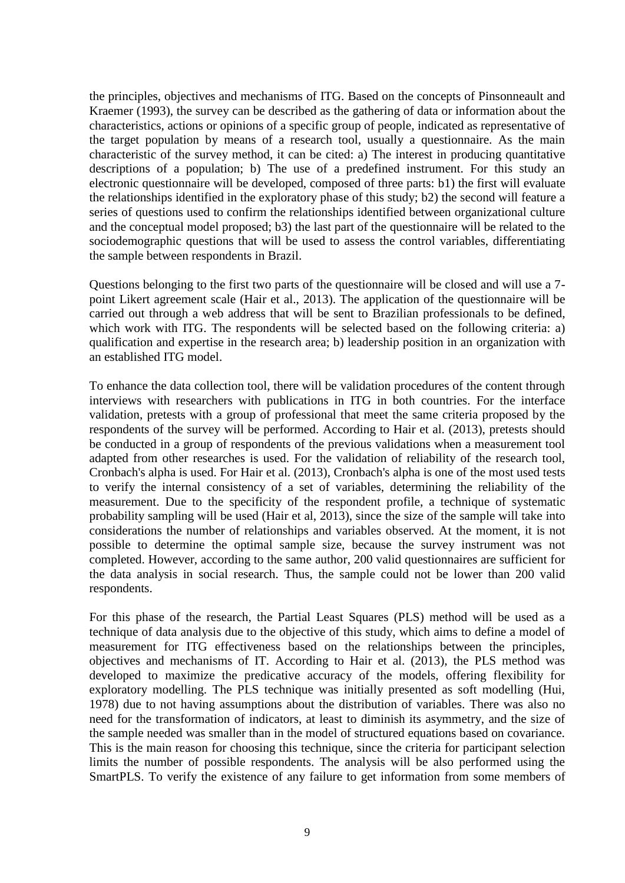the principles, objectives and mechanisms of ITG. Based on the concepts of Pinsonneault and Kraemer (1993), the survey can be described as the gathering of data or information about the characteristics, actions or opinions of a specific group of people, indicated as representative of the target population by means of a research tool, usually a questionnaire. As the main characteristic of the survey method, it can be cited: a) The interest in producing quantitative descriptions of a population; b) The use of a predefined instrument. For this study an electronic questionnaire will be developed, composed of three parts: b1) the first will evaluate the relationships identified in the exploratory phase of this study; b2) the second will feature a series of questions used to confirm the relationships identified between organizational culture and the conceptual model proposed; b3) the last part of the questionnaire will be related to the sociodemographic questions that will be used to assess the control variables, differentiating the sample between respondents in Brazil.

Questions belonging to the first two parts of the questionnaire will be closed and will use a 7 point Likert agreement scale (Hair et al., 2013). The application of the questionnaire will be carried out through a web address that will be sent to Brazilian professionals to be defined, which work with ITG. The respondents will be selected based on the following criteria: a) qualification and expertise in the research area; b) leadership position in an organization with an established ITG model.

To enhance the data collection tool, there will be validation procedures of the content through interviews with researchers with publications in ITG in both countries. For the interface validation, pretests with a group of professional that meet the same criteria proposed by the respondents of the survey will be performed. According to Hair et al. (2013), pretests should be conducted in a group of respondents of the previous validations when a measurement tool adapted from other researches is used. For the validation of reliability of the research tool, Cronbach's alpha is used. For Hair et al. (2013), Cronbach's alpha is one of the most used tests to verify the internal consistency of a set of variables, determining the reliability of the measurement. Due to the specificity of the respondent profile, a technique of systematic probability sampling will be used (Hair et al, 2013), since the size of the sample will take into considerations the number of relationships and variables observed. At the moment, it is not possible to determine the optimal sample size, because the survey instrument was not completed. However, according to the same author, 200 valid questionnaires are sufficient for the data analysis in social research. Thus, the sample could not be lower than 200 valid respondents.

For this phase of the research, the Partial Least Squares (PLS) method will be used as a technique of data analysis due to the objective of this study, which aims to define a model of measurement for ITG effectiveness based on the relationships between the principles, objectives and mechanisms of IT. According to Hair et al. (2013), the PLS method was developed to maximize the predicative accuracy of the models, offering flexibility for exploratory modelling. The PLS technique was initially presented as soft modelling (Hui, 1978) due to not having assumptions about the distribution of variables. There was also no need for the transformation of indicators, at least to diminish its asymmetry, and the size of the sample needed was smaller than in the model of structured equations based on covariance. This is the main reason for choosing this technique, since the criteria for participant selection limits the number of possible respondents. The analysis will be also performed using the SmartPLS. To verify the existence of any failure to get information from some members of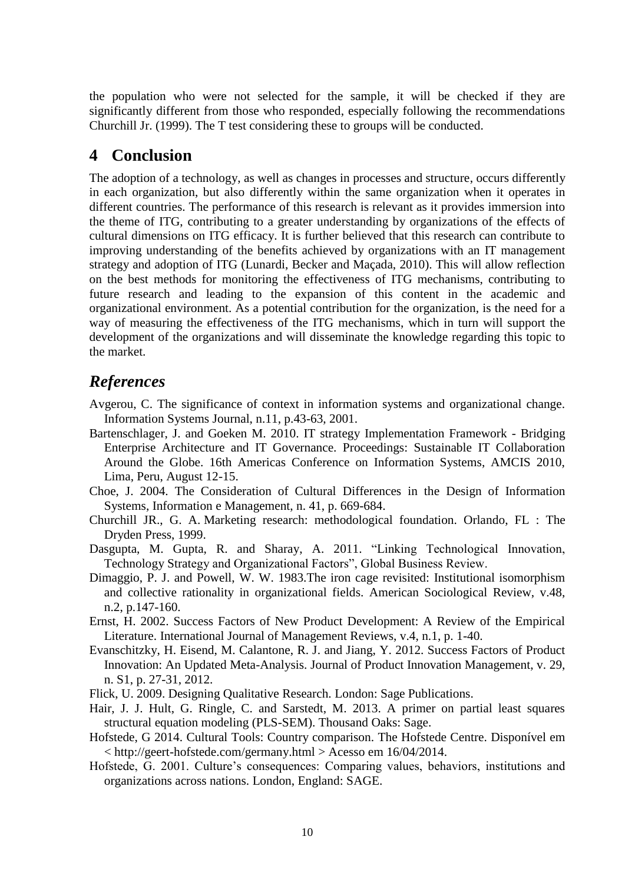the population who were not selected for the sample, it will be checked if they are significantly different from those who responded, especially following the recommendations Churchill Jr. (1999). The T test considering these to groups will be conducted.

#### **4 Conclusion**

The adoption of a technology, as well as changes in processes and structure, occurs differently in each organization, but also differently within the same organization when it operates in different countries. The performance of this research is relevant as it provides immersion into the theme of ITG, contributing to a greater understanding by organizations of the effects of cultural dimensions on ITG efficacy. It is further believed that this research can contribute to improving understanding of the benefits achieved by organizations with an IT management strategy and adoption of ITG (Lunardi, Becker and Maçada, 2010). This will allow reflection on the best methods for monitoring the effectiveness of ITG mechanisms, contributing to future research and leading to the expansion of this content in the academic and organizational environment. As a potential contribution for the organization, is the need for a way of measuring the effectiveness of the ITG mechanisms, which in turn will support the development of the organizations and will disseminate the knowledge regarding this topic to the market.

### *References*

- Avgerou, C. The significance of context in information systems and organizational change. Information Systems Journal, n.11, p.43-63, 2001.
- Bartenschlager, J. and Goeken M. 2010. IT strategy Implementation Framework Bridging Enterprise Architecture and IT Governance. Proceedings: Sustainable IT Collaboration Around the Globe. 16th Americas Conference on Information Systems, AMCIS 2010, Lima, Peru, August 12-15.
- Choe, J. 2004. The Consideration of Cultural Differences in the Design of Information Systems, Information e Management, n. 41, p. 669-684.
- Churchill JR., G. A. Marketing research: methodological foundation. Orlando, FL : The Dryden Press, 1999.
- Dasgupta, M. Gupta, R. and Sharay, A. 2011. "Linking Technological Innovation, Technology Strategy and Organizational Factors", Global Business Review.
- Dimaggio, P. J. and Powell, W. W. 1983.The iron cage revisited: Institutional isomorphism and collective rationality in organizational fields. American Sociological Review, v.48, n.2, p.147-160.
- Ernst, H. 2002. Success Factors of New Product Development: A Review of the Empirical Literature. International Journal of Management Reviews, v.4, n.1, p. 1-40.
- Evanschitzky, H. Eisend, M. Calantone, R. J. and Jiang, Y. 2012. Success Factors of Product Innovation: An Updated Meta-Analysis. Journal of Product Innovation Management, v. 29, n. S1, p. 27-31, 2012.
- Flick, U. 2009. Designing Qualitative Research. London: Sage Publications.
- Hair, J. J. Hult, G. Ringle, C. and Sarstedt, M. 2013. A primer on partial least squares structural equation modeling (PLS-SEM). Thousand Oaks: Sage.
- Hofstede, G 2014. Cultural Tools: Country comparison. The Hofstede Centre. Disponível em < http://geert-hofstede.com/germany.html > Acesso em 16/04/2014.
- Hofstede, G. 2001. Culture's consequences: Comparing values, behaviors, institutions and organizations across nations. London, England: SAGE.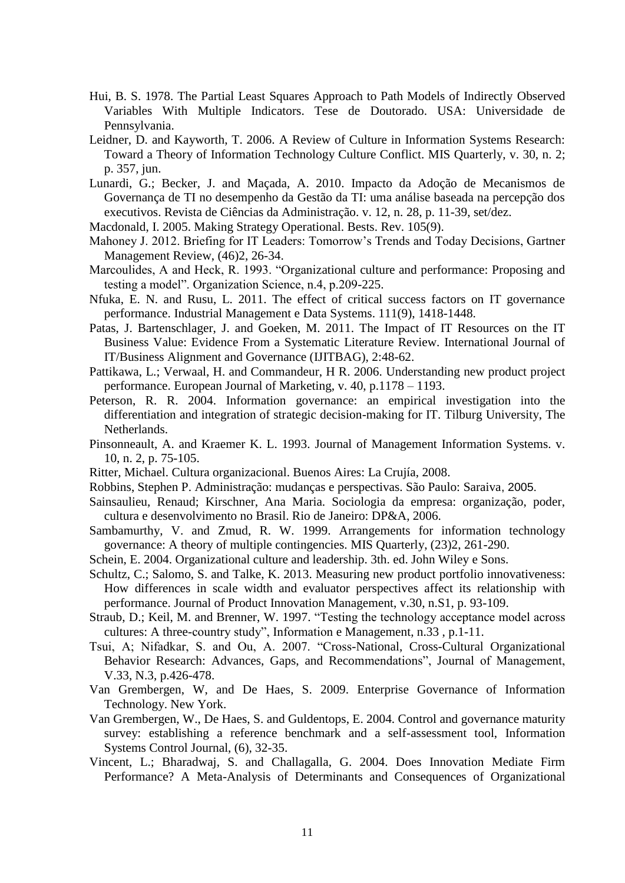- Hui, B. S. 1978. The Partial Least Squares Approach to Path Models of Indirectly Observed Variables With Multiple Indicators. Tese de Doutorado. USA: Universidade de Pennsylvania.
- Leidner, D. and Kayworth, T. 2006. A Review of Culture in Information Systems Research: Toward a Theory of Information Technology Culture Conflict. MIS Quarterly, v. 30, n. 2; p. 357, jun.
- Lunardi, G.; Becker, J. and Maçada, A. 2010. Impacto da Adoção de Mecanismos de Governança de TI no desempenho da Gestão da TI: uma análise baseada na percepção dos executivos. Revista de Ciências da Administração. v. 12, n. 28, p. 11-39, set/dez.
- Macdonald, I. 2005. Making Strategy Operational. Bests. Rev. 105(9).
- Mahoney J. 2012. Briefing for IT Leaders: Tomorrow's Trends and Today Decisions, Gartner Management Review, (46)2, 26-34.
- Marcoulides, A and Heck, R. 1993. "Organizational culture and performance: Proposing and testing a model". Organization Science, n.4, p.209-225.
- Nfuka, E. N. and Rusu, L. 2011. The effect of critical success factors on IT governance performance. Industrial Management e Data Systems. 111(9), 1418-1448.
- Patas, J. Bartenschlager, J. and Goeken, M. 2011. The Impact of IT Resources on the IT Business Value: Evidence From a Systematic Literature Review. International Journal of IT/Business Alignment and Governance (IJITBAG), 2:48-62.
- Pattikawa, L.; Verwaal, H. and Commandeur, H R. 2006. Understanding new product project performance. European Journal of Marketing, v. 40, p.1178 – 1193.
- Peterson, R. R. 2004. Information governance: an empirical investigation into the differentiation and integration of strategic decision-making for IT. Tilburg University, The Netherlands.
- Pinsonneault, A. and Kraemer K. L. 1993. Journal of Management Information Systems. v. 10, n. 2, p. 75-105.
- Ritter, Michael. Cultura organizacional. Buenos Aires: La Crujía, 2008.
- Robbins, Stephen P. Administração: mudanças e perspectivas. São Paulo: Saraiva, 2005.
- Sainsaulieu, Renaud; Kirschner, Ana Maria. Sociologia da empresa: organização, poder, cultura e desenvolvimento no Brasil. Rio de Janeiro: DP&A, 2006.
- Sambamurthy, V. and Zmud, R. W. 1999. Arrangements for information technology governance: A theory of multiple contingencies. MIS Quarterly, (23)2, 261-290.
- Schein, E. 2004. Organizational culture and leadership. 3th. ed. John Wiley e Sons.
- Schultz, C.; Salomo, S. and Talke, K. 2013. Measuring new product portfolio innovativeness: How differences in scale width and evaluator perspectives affect its relationship with performance. Journal of Product Innovation Management, v.30, n.S1, p. 93-109.
- Straub, D.; Keil, M. and Brenner, W. 1997. "Testing the technology acceptance model across cultures: A three-country study", Information e Management, n.33 , p.1-11.
- Tsui, A; Nifadkar, S. and Ou, A. 2007. "Cross-National, Cross-Cultural Organizational Behavior Research: Advances, Gaps, and Recommendations", Journal of Management, V.33, N.3, p.426-478.
- Van Grembergen, W, and De Haes, S. 2009. Enterprise Governance of Information Technology. New York.
- Van Grembergen, W., De Haes, S. and Guldentops, E. 2004. Control and governance maturity survey: establishing a reference benchmark and a self-assessment tool, Information Systems Control Journal, (6), 32-35.
- Vincent, L.; Bharadwaj, S. and Challagalla, G. 2004. Does Innovation Mediate Firm Performance? A Meta-Analysis of Determinants and Consequences of Organizational